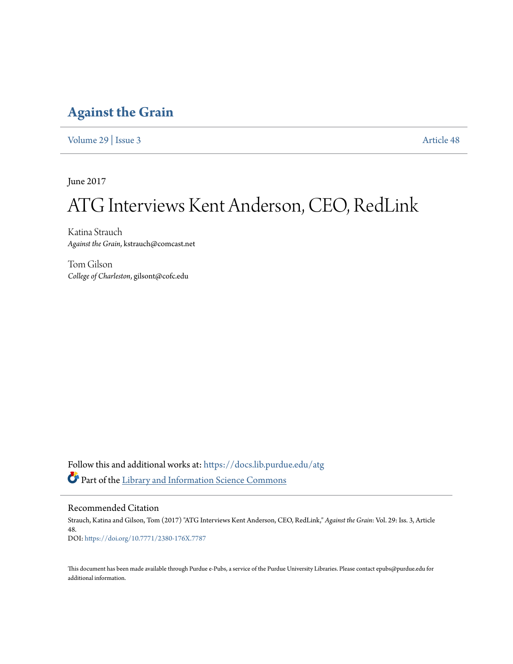## **[Against the Grain](https://docs.lib.purdue.edu/atg?utm_source=docs.lib.purdue.edu%2Fatg%2Fvol29%2Fiss3%2F48&utm_medium=PDF&utm_campaign=PDFCoverPages)**

[Volume 29](https://docs.lib.purdue.edu/atg/vol29?utm_source=docs.lib.purdue.edu%2Fatg%2Fvol29%2Fiss3%2F48&utm_medium=PDF&utm_campaign=PDFCoverPages) | [Issue 3](https://docs.lib.purdue.edu/atg/vol29/iss3?utm_source=docs.lib.purdue.edu%2Fatg%2Fvol29%2Fiss3%2F48&utm_medium=PDF&utm_campaign=PDFCoverPages) [Article 48](https://docs.lib.purdue.edu/atg/vol29/iss3/48?utm_source=docs.lib.purdue.edu%2Fatg%2Fvol29%2Fiss3%2F48&utm_medium=PDF&utm_campaign=PDFCoverPages)

June 2017

# ATG Interviews Kent Anderson, CEO, RedLink

Katina Strauch *Against the Grain*, kstrauch@comcast.net

Tom Gilson *College of Charleston*, gilsont@cofc.edu

Follow this and additional works at: [https://docs.lib.purdue.edu/atg](https://docs.lib.purdue.edu/atg?utm_source=docs.lib.purdue.edu%2Fatg%2Fvol29%2Fiss3%2F48&utm_medium=PDF&utm_campaign=PDFCoverPages) Part of the [Library and Information Science Commons](http://network.bepress.com/hgg/discipline/1018?utm_source=docs.lib.purdue.edu%2Fatg%2Fvol29%2Fiss3%2F48&utm_medium=PDF&utm_campaign=PDFCoverPages)

Recommended Citation

Strauch, Katina and Gilson, Tom (2017) "ATG Interviews Kent Anderson, CEO, RedLink," *Against the Grain*: Vol. 29: Iss. 3, Article 48. DOI: <https://doi.org/10.7771/2380-176X.7787>

This document has been made available through Purdue e-Pubs, a service of the Purdue University Libraries. Please contact epubs@purdue.edu for additional information.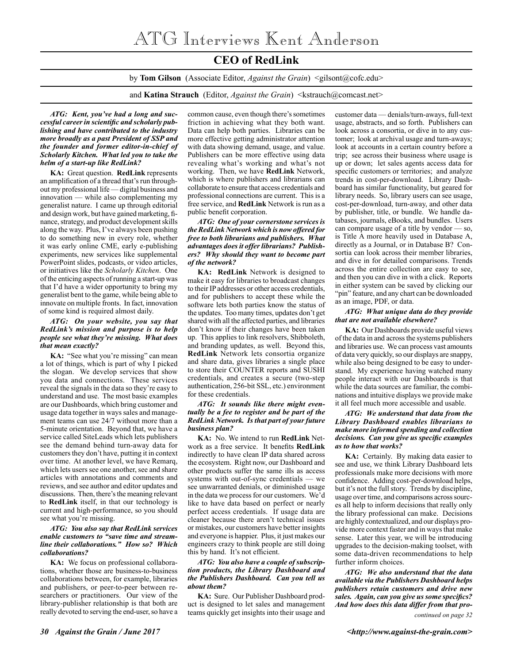### **CEO of RedLink**

by **Tom Gilson** (Associate Editor, *Against the Grain*) <gilsont@cofc.edu>

and **Katina Strauch** (Editor, *Against the Grain*) <kstrauch@comcast.net>

*ATG: Kent, you've had a long and successful career in scientific and scholarly publishing and have contributed to the industry more broadly as a past President of SSP and the founder and former editor-in-chief of Scholarly Kitchen. What led you to take the helm of a start-up like RedLink?*

**KA:** Great question. **RedLink** represents an amplification of a thread that's run throughout my professional life — digital business and innovation — while also complementing my generalist nature. I came up through editorial and design work, but have gained marketing, finance, strategy, and product development skills along the way. Plus, I've always been pushing to do something new in every role, whether it was early online CME, early e-publishing experiments, new services like supplemental PowerPoint slides, podcasts, or video articles, or initiatives like the *Scholarly Kitchen*. One of the enticing aspects of running a start-up was that I'd have a wider opportunity to bring my generalist bent to the game, while being able to innovate on multiple fronts. In fact, innovation of some kind is required almost daily.

#### *ATG: On your website, you say that RedLink's mission and purpose is to help people see what they're missing. What does that mean exactly?*

**KA:** "See what you're missing" can mean a lot of things, which is part of why I picked the slogan. We develop services that show you data and connections. These services reveal the signals in the data so they're easy to understand and use. The most basic examples are our Dashboards, which bring customer and usage data together in ways sales and management teams can use 24/7 without more than a 5-minute orientation. Beyond that, we have a service called SiteLeads which lets publishers see the demand behind turn-away data for customers they don't have, putting it in context over time. At another level, we have Remarq, which lets users see one another, see and share articles with annotations and comments and reviews, and see author and editor updates and discussions. Then, there's the meaning relevant to **RedLink** itself, in that our technology is current and high-performance, so you should see what you're missing.

#### *ATG: You also say that RedLink services enable customers to "save time and streamline their collaborations." How so? Which collaborations?*

**KA:** We focus on professional collaborations, whether those are business-to-business collaborations between, for example, libraries and publishers, or peer-to-peer between researchers or practitioners. Our view of the library-publisher relationship is that both are really devoted to serving the end-user, so have a

common cause, even though there's sometimes friction in achieving what they both want. Data can help both parties. Libraries can be more effective getting administrator attention with data showing demand, usage, and value. Publishers can be more effective using data revealing what's working and what's not working. Then, we have **RedLink** Network, which is where publishers and librarians can collaborate to ensure that access credentials and professional connections are current. This is a free service, and **RedLink** Network is run as a public benefit corporation.

#### *ATG: One of your cornerstone services is the RedLink Network which is now offered for free to both librarians and publishers. What advantages does it offer librarians? Publishers? Why should they want to become part of the network?*

**KA: RedLink** Network is designed to make it easy for libraries to broadcast changes to their IP addresses or other access credentials, and for publishers to accept these while the software lets both parties know the status of the updates. Too many times, updates don't get shared with all the affected parties, and libraries don't know if their changes have been taken up. This applies to link resolvers, Shibboleth, and branding updates, as well. Beyond this, **RedLink** Network lets consortia organize and share data, gives libraries a single place to store their COUNTER reports and SUSHI credentials, and creates a secure (two-step authentication, 256-bit SSL, etc.) environment for these credentials.

#### *ATG: It sounds like there might eventually be a fee to register and be part of the RedLink Network. Is that part of your future business plan?*

**KA:** No. We intend to run **RedLink** Network as a free service. It benefits **RedLink** indirectly to have clean IP data shared across the ecosystem. Right now, our Dashboard and other products suffer the same ills as access systems with out-of-sync credentials — we see unwarranted denials, or diminished usage in the data we process for our customers. We'd like to have data based on perfect or nearly perfect access credentials. If usage data are cleaner because there aren't technical issues or mistakes, our customers have better insights and everyone is happier. Plus, it just makes our engineers crazy to think people are still doing this by hand. It's not efficient.

#### *ATG: You also have a couple of subscription products, the Library Dashboard and the Publishers Dashboard. Can you tell us about them?*

**KA:** Sure. Our Publisher Dashboard product is designed to let sales and management teams quickly get insights into their usage and

customer data — denials/turn-aways, full-text usage, abstracts, and so forth. Publishers can look across a consortia, or dive in to any customer; look at archival usage and turn-aways; look at accounts in a certain country before a trip; see across their business where usage is up or down; let sales agents access data for specific customers or territories; and analyze trends in cost-per-download. Library Dashboard has similar functionality, but geared for library needs. So, library users can see usage, cost-per-download, turn-away, and other data by publisher, title, or bundle. We handle databases, journals, eBooks, and bundles. Users can compare usage of a title by vendor — so, is Title A more heavily used in Database A, directly as a Journal, or in Database B? Consortia can look across their member libraries, and dive in for detailed comparisons. Trends across the entire collection are easy to see, and then you can dive in with a click. Reports in either system can be saved by clicking our "pin" feature, and any chart can be downloaded as an image, PDF, or data.

#### *ATG: What unique data do they provide that are not available elsewhere?*

**KA:** Our Dashboards provide useful views of the data in and across the systems publishers and libraries use. We can process vast amounts of data very quickly, so our displays are snappy, while also being designed to be easy to understand. My experience having watched many people interact with our Dashboards is that while the data sources are familiar, the combinations and intuitive displays we provide make it all feel much more accessible and usable.

#### *ATG: We understand that data from the Library Dashboard enables librarians to make more informed spending and collection decisions. Can you give us specific examples as to how that works?*

**KA:** Certainly. By making data easier to see and use, we think Library Dashboard lets professionals make more decisions with more confidence. Adding cost-per-download helps, but it's not the full story. Trends by discipline, usage over time, and comparisons across sources all help to inform decisions that really only the library professional can make. Decisions are highly contextualized, and our displays provide more context faster and in ways that make sense. Later this year, we will be introducing upgrades to the decision-making toolset, with some data-driven recommendations to help further inform choices.

*ATG: We also understand that the data available via the Publishers Dashboard helps publishers retain customers and drive new sales. Again, can you give us some specifics? And how does this data differ from that pro-*

*continued on page 32*